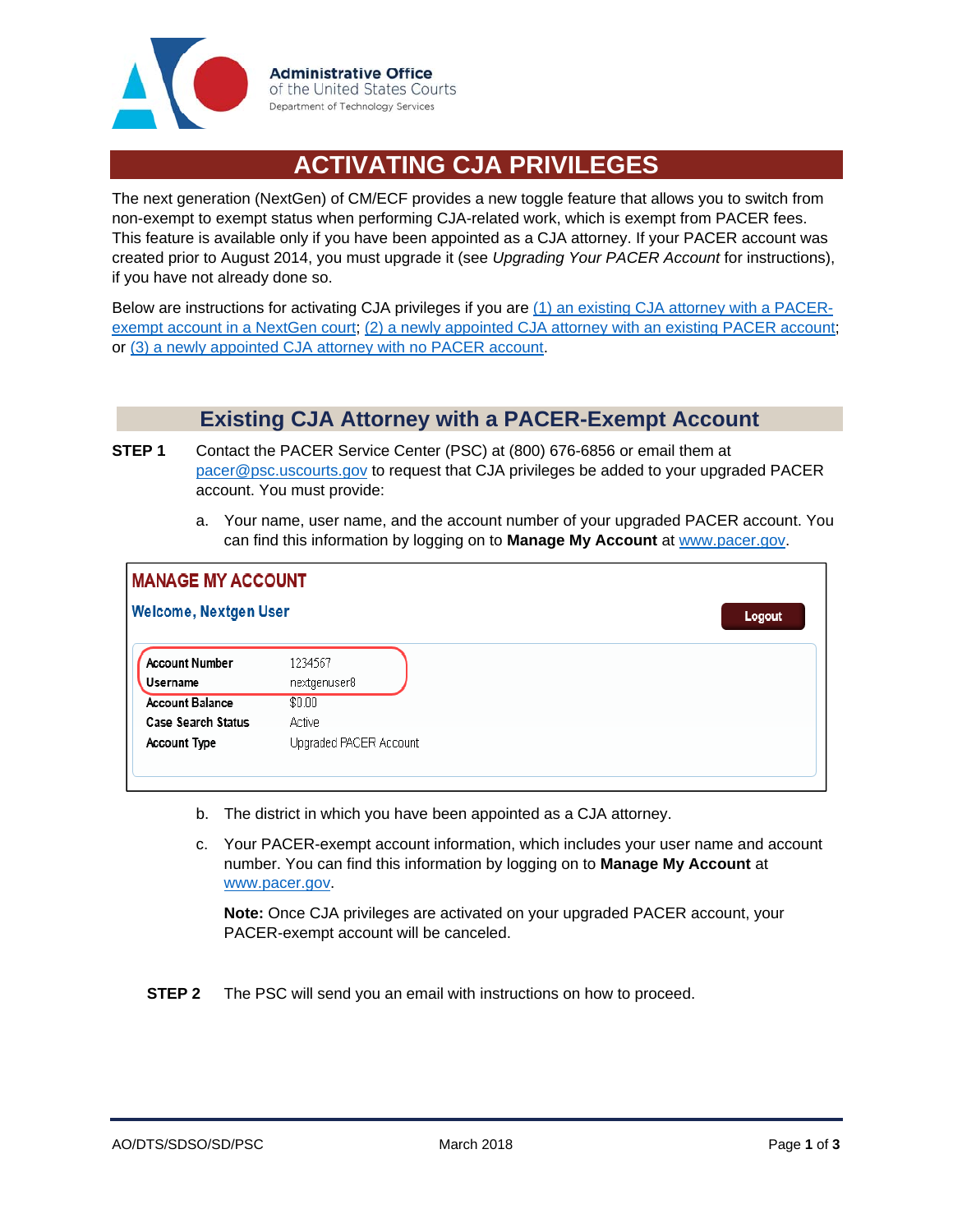

## **ACTIVATING CJA PRIVILEGES**

The next generation (NextGen) of CM/ECF provides a new toggle feature that allows you to switch from non-exempt to exempt status when performing CJA-related work, which is exempt from PACER fees. This feature is available only if you have been appointed as a CJA attorney. If your PACER account was created prior to August 2014, you must upgrade it (see *Upgrading Your PACER Account* for instructions), if you have not already done so.

Below are instructions for activating CJA privileges if you are (1) an existing CJA attorney with a PACERexempt account in a NextGen court; (2) a newly appointed CJA attorney with an existing PACER account; or (3) a newly appointed CJA attorney with no PACER account.

## **Existing CJA Attorney with a PACER-Exempt Account**

- **STEP 1** Contact the PACER Service Center (PSC) at (800) 676-6856 or email them at pacer@psc.uscourts.gov to request that CJA privileges be added to your upgraded PACER account. You must provide:
	- a. Your name, user name, and the account number of your upgraded PACER account. You can find this information by logging on to **Manage My Account** at www.pacer.gov.

| <b>MANAGE MY ACCOUNT</b>     |                                   |                         |        |  |
|------------------------------|-----------------------------------|-------------------------|--------|--|
| <b>Welcome, Nextgen User</b> |                                   |                         | Logout |  |
|                              | <b>Account Number</b><br>Username | 1234567<br>nextgenuser8 |        |  |
|                              | <b>Account Balance</b>            | \$0.00                  |        |  |
|                              | <b>Case Search Status</b>         | Active                  |        |  |
|                              | <b>Account Type</b>               | Upgraded PACER Account  |        |  |
|                              |                                   |                         |        |  |

- b. The district in which you have been appointed as a CJA attorney.
- c. Your PACER-exempt account information, which includes your user name and account number. You can find this information by logging on to **Manage My Account** at www.pacer.gov.

**Note:** Once CJA privileges are activated on your upgraded PACER account, your PACER-exempt account will be canceled.

**STEP 2** The PSC will send you an email with instructions on how to proceed.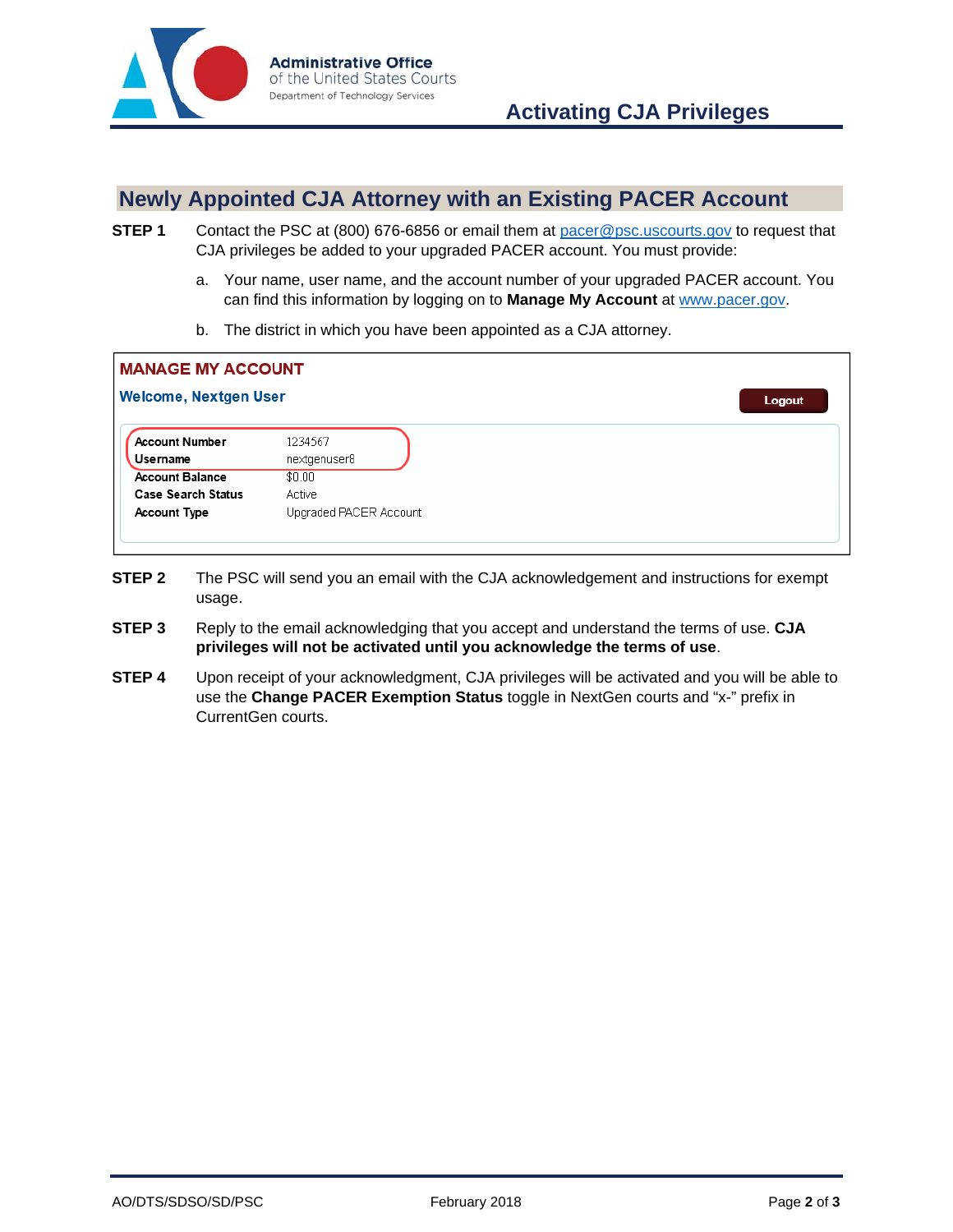

## **Newly Appointed CJA Attorney with an Existing PACER Account**

- **STEP 1** Contact the PSC at (800) 676-6856 or email them at pacer@psc.uscourts.gov to request that CJA privileges be added to your upgraded PACER account. You must provide:
	- a. Your name, user name, and the account number of your upgraded PACER account. You can find this information by logging on to **Manage My Account** at www.pacer.gov.
	- b. The district in which you have been appointed as a CJA attorney.

| <b>MANAGE MY ACCOUNT</b>          |                         |        |  |  |
|-----------------------------------|-------------------------|--------|--|--|
| <b>Welcome, Nextgen User</b>      |                         | Logout |  |  |
| <b>Account Number</b><br>Username | 1234567<br>nextgenuser8 |        |  |  |
| <b>Account Balance</b>            | \$0.00                  |        |  |  |
| <b>Case Search Status</b>         | Active                  |        |  |  |
| <b>Account Type</b>               | Upgraded PACER Account  |        |  |  |
|                                   |                         |        |  |  |

- **STEP 2** The PSC will send you an email with the CJA acknowledgement and instructions for exempt usage.
- **STEP 3** Reply to the email acknowledging that you accept and understand the terms of use. **CJA privileges will not be activated until you acknowledge the terms of use**.
- **STEP 4** Upon receipt of your acknowledgment, CJA privileges will be activated and you will be able to use the **Change PACER Exemption Status** toggle in NextGen courts and "x-" prefix in CurrentGen courts.